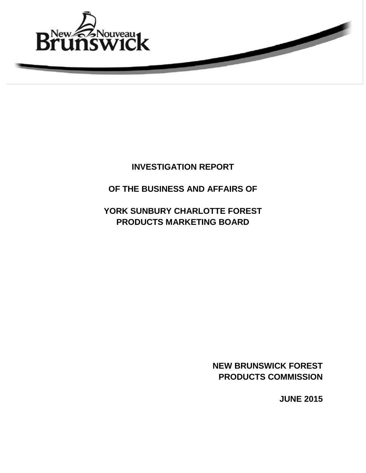

# **INVESTIGATION REPORT**

# **OF THE BUSINESS AND AFFAIRS OF**

# **YORK SUNBURY CHARLOTTE FOREST PRODUCTS MARKETING BOARD**

**NEW BRUNSWICK FOREST PRODUCTS COMMISSION**

**JUNE 2015**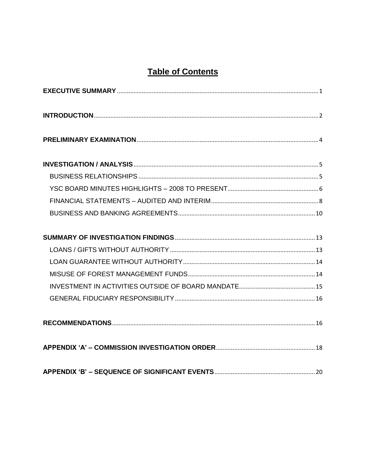# **Table of Contents**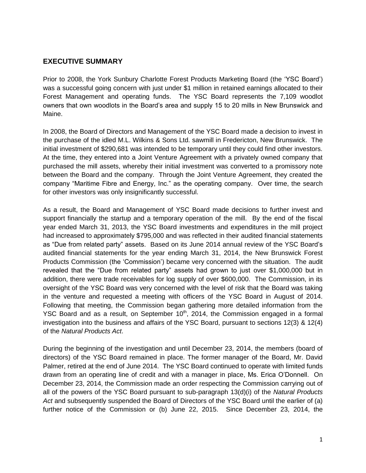### <span id="page-2-0"></span>**EXECUTIVE SUMMARY**

Prior to 2008, the York Sunbury Charlotte Forest Products Marketing Board (the 'YSC Board') was a successful going concern with just under \$1 million in retained earnings allocated to their Forest Management and operating funds. The YSC Board represents the 7,109 woodlot owners that own woodlots in the Board's area and supply 15 to 20 mills in New Brunswick and Maine.

In 2008, the Board of Directors and Management of the YSC Board made a decision to invest in the purchase of the idled M.L. Wilkins & Sons Ltd. sawmill in Fredericton, New Brunswick. The initial investment of \$290,681 was intended to be temporary until they could find other investors. At the time, they entered into a Joint Venture Agreement with a privately owned company that purchased the mill assets, whereby their initial investment was converted to a promissory note between the Board and the company. Through the Joint Venture Agreement, they created the company "Maritime Fibre and Energy, Inc." as the operating company. Over time, the search for other investors was only insignificantly successful.

As a result, the Board and Management of YSC Board made decisions to further invest and support financially the startup and a temporary operation of the mill. By the end of the fiscal year ended March 31, 2013, the YSC Board investments and expenditures in the mill project had increased to approximately \$795,000 and was reflected in their audited financial statements as "Due from related party" assets. Based on its June 2014 annual review of the YSC Board's audited financial statements for the year ending March 31, 2014, the New Brunswick Forest Products Commission (the 'Commission') became very concerned with the situation. The audit revealed that the "Due from related party" assets had grown to just over \$1,000,000 but in addition, there were trade receivables for log supply of over \$600,000. The Commission, in its oversight of the YSC Board was very concerned with the level of risk that the Board was taking in the venture and requested a meeting with officers of the YSC Board in August of 2014. Following that meeting, the Commission began gathering more detailed information from the YSC Board and as a result, on September  $10<sup>th</sup>$ , 2014, the Commission engaged in a formal investigation into the business and affairs of the YSC Board, pursuant to sections 12(3) & 12(4) of the *Natural Products Act*.

During the beginning of the investigation and until December 23, 2014, the members (board of directors) of the YSC Board remained in place. The former manager of the Board, Mr. David Palmer, retired at the end of June 2014. The YSC Board continued to operate with limited funds drawn from an operating line of credit and with a manager in place, Ms. Erica O'Donnell. On December 23, 2014, the Commission made an order respecting the Commission carrying out of all of the powers of the YSC Board pursuant to sub-paragraph 13(d)(i) of the *Natural Products Act* and subsequently suspended the Board of Directors of the YSC Board until the earlier of (a) further notice of the Commission or (b) June 22, 2015. Since December 23, 2014, the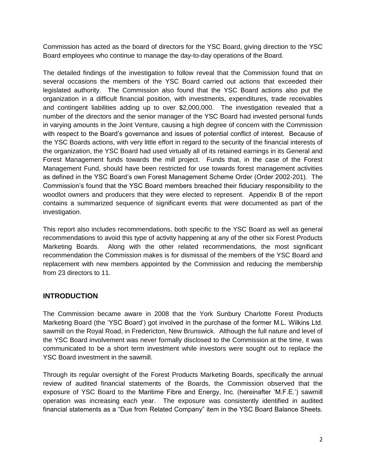Commission has acted as the board of directors for the YSC Board, giving direction to the YSC Board employees who continue to manage the day-to-day operations of the Board.

The detailed findings of the investigation to follow reveal that the Commission found that on several occasions the members of the YSC Board carried out actions that exceeded their legislated authority. The Commission also found that the YSC Board actions also put the organization in a difficult financial position, with investments, expenditures, trade receivables and contingent liabilities adding up to over \$2,000,000. The investigation revealed that a number of the directors and the senior manager of the YSC Board had invested personal funds in varying amounts in the Joint Venture, causing a high degree of concern with the Commission with respect to the Board's governance and issues of potential conflict of interest. Because of the YSC Boards actions, with very little effort in regard to the security of the financial interests of the organization, the YSC Board had used virtually all of its retained earnings in its General and Forest Management funds towards the mill project. Funds that, in the case of the Forest Management Fund, should have been restricted for use towards forest management activities as defined in the YSC Board's own Forest Management Scheme Order (Order 2002-201). The Commission's found that the YSC Board members breached their fiduciary responsibility to the woodlot owners and producers that they were elected to represent. Appendix B of the report contains a summarized sequence of significant events that were documented as part of the investigation.

This report also includes recommendations, both specific to the YSC Board as well as general recommendations to avoid this type of activity happening at any of the other six Forest Products Marketing Boards. Along with the other related recommendations, the most significant recommendation the Commission makes is for dismissal of the members of the YSC Board and replacement with new members appointed by the Commission and reducing the membership from 23 directors to 11.

#### <span id="page-3-0"></span>**INTRODUCTION**

The Commission became aware in 2008 that the York Sunbury Charlotte Forest Products Marketing Board (the 'YSC Board') got involved in the purchase of the former M.L. Wilkins Ltd. sawmill on the Royal Road, in Fredericton, New Brunswick. Although the full nature and level of the YSC Board involvement was never formally disclosed to the Commission at the time, it was communicated to be a short term investment while investors were sought out to replace the YSC Board investment in the sawmill.

Through its regular oversight of the Forest Products Marketing Boards, specifically the annual review of audited financial statements of the Boards, the Commission observed that the exposure of YSC Board to the Maritime Fibre and Energy, Inc. (hereinafter 'M.F.E.') sawmill operation was increasing each year. The exposure was consistently identified in audited financial statements as a "Due from Related Company" item in the YSC Board Balance Sheets.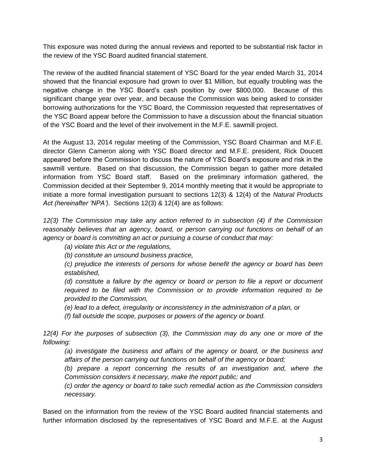This exposure was noted during the annual reviews and reported to be substantial risk factor in the review of the YSC Board audited financial statement.

The review of the audited financial statement of YSC Board for the year ended March 31, 2014 showed that the financial exposure had grown to over \$1 Million, but equally troubling was the negative change in the YSC Board's cash position by over \$800,000. Because of this significant change year over year, and because the Commission was being asked to consider borrowing authorizations for the YSC Board, the Commission requested that representatives of the YSC Board appear before the Commission to have a discussion about the financial situation of the YSC Board and the level of their involvement in the M.F.E. sawmill project.

At the August 13, 2014 regular meeting of the Commission, YSC Board Chairman and M.F.E. director Glenn Cameron along with YSC Board director and M.F.E. president, Rick Doucett appeared before the Commission to discuss the nature of YSC Board's exposure and risk in the sawmill venture. Based on that discussion, the Commission began to gather more detailed information from YSC Board staff. Based on the preliminary information gathered, the Commission decided at their September 9, 2014 monthly meeting that it would be appropriate to initiate a more formal investigation pursuant to sections 12(3) & 12(4) of the *Natural Products Act (hereinafter 'NPA')*. Sections 12(3) & 12(4) are as follows:

*12(3) The Commission may take any action referred to in subsection (4) if the Commission reasonably believes that an agency, board, or person carrying out functions on behalf of an agency or board is committing an act or pursuing a course of conduct that may:*

*(a) violate this Act or the regulations,*

*(b) constitute an unsound business practice,*

*(c) prejudice the interests of persons for whose benefit the agency or board has been established,*

*(d) constitute a failure by the agency or board or person to file a report or document required to be filed with the Commission or to provide information required to be provided to the Commission,*

*(e) lead to a defect, irregularity or inconsistency in the administration of a plan, or*

*(f) fall outside the scope, purposes or powers of the agency or board.*

*12(4) For the purposes of subsection (3), the Commission may do any one or more of the following:*

*(a) investigate the business and affairs of the agency or board, or the business and affairs of the person carrying out functions on behalf of the agency or board;*

(b) prepare a report concerning the results of an investigation and, where the *Commission considers it necessary, make the report public; and*

*(c) order the agency or board to take such remedial action as the Commission considers necessary.*

Based on the information from the review of the YSC Board audited financial statements and further information disclosed by the representatives of YSC Board and M.F.E. at the August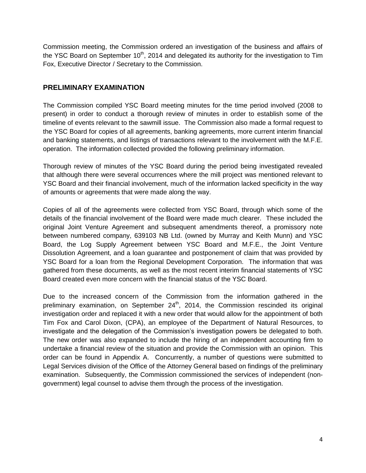Commission meeting, the Commission ordered an investigation of the business and affairs of the YSC Board on September  $10<sup>th</sup>$ , 2014 and delegated its authority for the investigation to Tim Fox, Executive Director / Secretary to the Commission.

### <span id="page-5-0"></span>**PRELIMINARY EXAMINATION**

The Commission compiled YSC Board meeting minutes for the time period involved (2008 to present) in order to conduct a thorough review of minutes in order to establish some of the timeline of events relevant to the sawmill issue. The Commission also made a formal request to the YSC Board for copies of all agreements, banking agreements, more current interim financial and banking statements, and listings of transactions relevant to the involvement with the M.F.E. operation. The information collected provided the following preliminary information.

Thorough review of minutes of the YSC Board during the period being investigated revealed that although there were several occurrences where the mill project was mentioned relevant to YSC Board and their financial involvement, much of the information lacked specificity in the way of amounts or agreements that were made along the way.

Copies of all of the agreements were collected from YSC Board, through which some of the details of the financial involvement of the Board were made much clearer. These included the original Joint Venture Agreement and subsequent amendments thereof, a promissory note between numbered company, 639103 NB Ltd. (owned by Murray and Keith Munn) and YSC Board, the Log Supply Agreement between YSC Board and M.F.E., the Joint Venture Dissolution Agreement, and a loan guarantee and postponement of claim that was provided by YSC Board for a loan from the Regional Development Corporation. The information that was gathered from these documents, as well as the most recent interim financial statements of YSC Board created even more concern with the financial status of the YSC Board.

Due to the increased concern of the Commission from the information gathered in the preliminary examination, on September  $24<sup>th</sup>$ , 2014, the Commission rescinded its original investigation order and replaced it with a new order that would allow for the appointment of both Tim Fox and Carol Dixon, (CPA), an employee of the Department of Natural Resources, to investigate and the delegation of the Commission's investigation powers be delegated to both. The new order was also expanded to include the hiring of an independent accounting firm to undertake a financial review of the situation and provide the Commission with an opinion. This order can be found in Appendix A. Concurrently, a number of questions were submitted to Legal Services division of the Office of the Attorney General based on findings of the preliminary examination. Subsequently, the Commission commissioned the services of independent (nongovernment) legal counsel to advise them through the process of the investigation.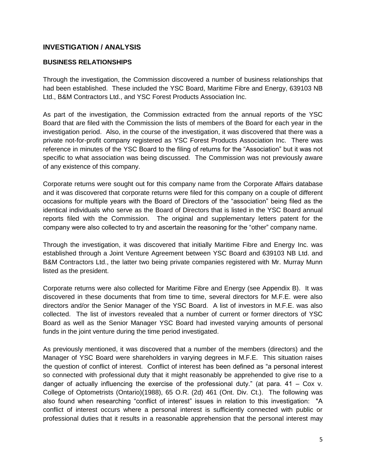### <span id="page-6-0"></span>**INVESTIGATION / ANALYSIS**

#### <span id="page-6-1"></span>**BUSINESS RELATIONSHIPS**

Through the investigation, the Commission discovered a number of business relationships that had been established. These included the YSC Board, Maritime Fibre and Energy, 639103 NB Ltd., B&M Contractors Ltd., and YSC Forest Products Association Inc.

As part of the investigation, the Commission extracted from the annual reports of the YSC Board that are filed with the Commission the lists of members of the Board for each year in the investigation period. Also, in the course of the investigation, it was discovered that there was a private not-for-profit company registered as YSC Forest Products Association Inc. There was reference in minutes of the YSC Board to the filing of returns for the "Association" but it was not specific to what association was being discussed. The Commission was not previously aware of any existence of this company.

Corporate returns were sought out for this company name from the Corporate Affairs database and it was discovered that corporate returns were filed for this company on a couple of different occasions for multiple years with the Board of Directors of the "association" being filed as the identical individuals who serve as the Board of Directors that is listed in the YSC Board annual reports filed with the Commission. The original and supplementary letters patent for the company were also collected to try and ascertain the reasoning for the "other" company name.

Through the investigation, it was discovered that initially Maritime Fibre and Energy Inc. was established through a Joint Venture Agreement between YSC Board and 639103 NB Ltd. and B&M Contractors Ltd., the latter two being private companies registered with Mr. Murray Munn listed as the president.

Corporate returns were also collected for Maritime Fibre and Energy (see Appendix B). It was discovered in these documents that from time to time, several directors for M.F.E. were also directors and/or the Senior Manager of the YSC Board. A list of investors in M.F.E. was also collected. The list of investors revealed that a number of current or former directors of YSC Board as well as the Senior Manager YSC Board had invested varying amounts of personal funds in the joint venture during the time period investigated.

As previously mentioned, it was discovered that a number of the members (directors) and the Manager of YSC Board were shareholders in varying degrees in M.F.E. This situation raises the question of conflict of interest. Conflict of interest has been defined as "a personal interest so connected with professional duty that it might reasonably be apprehended to give rise to a danger of actually influencing the exercise of the professional duty." (at para.  $41 - \text{Cox } v$ . College of Optometrists (Ontario)(1988), 65 O.R. (2d) 461 (Ont. Div. Ct.). The following was also found when researching "conflict of interest" issues in relation to this investigation: "A conflict of interest occurs where a personal interest is sufficiently connected with public or professional duties that it results in a reasonable apprehension that the personal interest may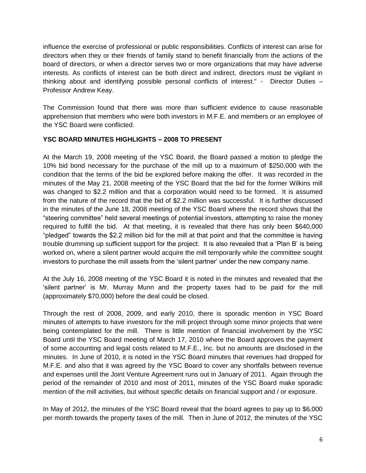influence the exercise of professional or public responsibilities. Conflicts of interest can arise for directors when they or their friends of family stand to benefit financially from the actions of the board of directors, or when a director serves two or more organizations that may have adverse interests. As conflicts of interest can be both direct and indirect, directors must be vigilant in thinking about and identifying possible personal conflicts of interest." - Director Duties – Professor Andrew Keay.

The Commission found that there was more than sufficient evidence to cause reasonable apprehension that members who were both investors in M.F.E. and members or an employee of the YSC Board were conflicted.

#### <span id="page-7-0"></span>**YSC BOARD MINUTES HIGHLIGHTS – 2008 TO PRESENT**

At the March 19, 2008 meeting of the YSC Board, the Board passed a motion to pledge the 10% bid bond necessary for the purchase of the mill up to a maximum of \$250,000 with the condition that the terms of the bid be explored before making the offer. It was recorded in the minutes of the May 21, 2008 meeting of the YSC Board that the bid for the former Wilkins mill was changed to \$2.2 million and that a corporation would need to be formed. It is assumed from the nature of the record that the bid of \$2.2 million was successful. It is further discussed in the minutes of the June 18, 2008 meeting of the YSC Board where the record shows that the "steering committee" held several meetings of potential investors, attempting to raise the money required to fulfill the bid. At that meeting, it is revealed that there has only been \$640,000 "pledged" towards the \$2.2 million bid for the mill at that point and that the committee is having trouble drumming up sufficient support for the project. It is also revealed that a 'Plan B' is being worked on, where a silent partner would acquire the mill temporarily while the committee sought investors to purchase the mill assets from the 'silent partner' under the new company name.

At the July 16, 2008 meeting of the YSC Board it is noted in the minutes and revealed that the 'silent partner' is Mr. Murray Munn and the property taxes had to be paid for the mill (approximately \$70,000) before the deal could be closed.

Through the rest of 2008, 2009, and early 2010, there is sporadic mention in YSC Board minutes of attempts to have investors for the mill project through some minor projects that were being contemplated for the mill. There is little mention of financial involvement by the YSC Board until the YSC Board meeting of March 17, 2010 where the Board approves the payment of some accounting and legal costs related to M.F.E., Inc. but no amounts are disclosed in the minutes. In June of 2010, it is noted in the YSC Board minutes that revenues had dropped for M.F.E. and also that it was agreed by the YSC Board to cover any shortfalls between revenue and expenses until the Joint Venture Agreement runs out in January of 2011. Again through the period of the remainder of 2010 and most of 2011, minutes of the YSC Board make sporadic mention of the mill activities, but without specific details on financial support and / or exposure.

In May of 2012, the minutes of the YSC Board reveal that the board agrees to pay up to \$6,000 per month towards the property taxes of the mill. Then in June of 2012, the minutes of the YSC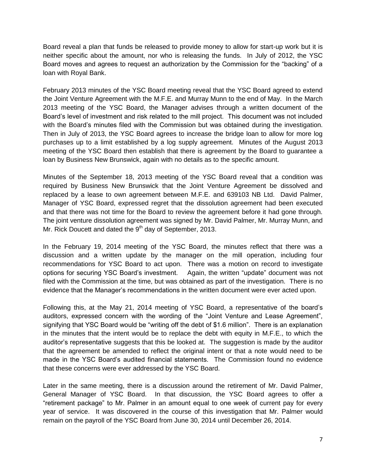Board reveal a plan that funds be released to provide money to allow for start-up work but it is neither specific about the amount, nor who is releasing the funds. In July of 2012, the YSC Board moves and agrees to request an authorization by the Commission for the "backing" of a loan with Royal Bank.

February 2013 minutes of the YSC Board meeting reveal that the YSC Board agreed to extend the Joint Venture Agreement with the M.F.E. and Murray Munn to the end of May. In the March 2013 meeting of the YSC Board, the Manager advises through a written document of the Board's level of investment and risk related to the mill project. This document was not included with the Board's minutes filed with the Commission but was obtained during the investigation. Then in July of 2013, the YSC Board agrees to increase the bridge loan to allow for more log purchases up to a limit established by a log supply agreement. Minutes of the August 2013 meeting of the YSC Board then establish that there is agreement by the Board to guarantee a loan by Business New Brunswick, again with no details as to the specific amount.

Minutes of the September 18, 2013 meeting of the YSC Board reveal that a condition was required by Business New Brunswick that the Joint Venture Agreement be dissolved and replaced by a lease to own agreement between M.F.E. and 639103 NB Ltd. David Palmer, Manager of YSC Board, expressed regret that the dissolution agreement had been executed and that there was not time for the Board to review the agreement before it had gone through. The joint venture dissolution agreement was signed by Mr. David Palmer, Mr. Murray Munn, and Mr. Rick Doucett and dated the 9<sup>th</sup> day of September, 2013.

In the February 19, 2014 meeting of the YSC Board, the minutes reflect that there was a discussion and a written update by the manager on the mill operation, including four recommendations for YSC Board to act upon. There was a motion on record to investigate options for securing YSC Board's investment. Again, the written "update" document was not filed with the Commission at the time, but was obtained as part of the investigation. There is no evidence that the Manager's recommendations in the written document were ever acted upon.

Following this, at the May 21, 2014 meeting of YSC Board, a representative of the board's auditors, expressed concern with the wording of the "Joint Venture and Lease Agreement", signifying that YSC Board would be "writing off the debt of \$1.6 million". There is an explanation in the minutes that the intent would be to replace the debt with equity in M.F.E., to which the auditor's representative suggests that this be looked at. The suggestion is made by the auditor that the agreement be amended to reflect the original intent or that a note would need to be made in the YSC Board's audited financial statements. The Commission found no evidence that these concerns were ever addressed by the YSC Board.

Later in the same meeting, there is a discussion around the retirement of Mr. David Palmer, General Manager of YSC Board. In that discussion, the YSC Board agrees to offer a "retirement package" to Mr. Palmer in an amount equal to one week of current pay for every year of service. It was discovered in the course of this investigation that Mr. Palmer would remain on the payroll of the YSC Board from June 30, 2014 until December 26, 2014.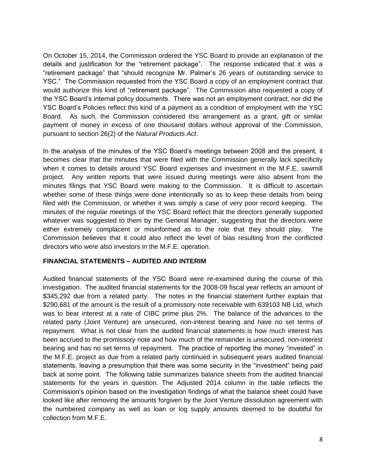On October 15, 2014, the Commission ordered the YSC Board to provide an explanation of the details and justification for the "retirement package". The response indicated that it was a "retirement package" that "should recognize Mr. Palmer's 26 years of outstanding service to YSC." The Commission requested from the YSC Board a copy of an employment contract that would authorize this kind of "retirement package". The Commission also requested a copy of the YSC Board's internal policy documents. There was not an employment contract, nor did the YSC Board's Policies reflect this kind of a payment as a condition of employment with the YSC Board. As such, the Commission considered this arrangement as a grant, gift or similar payment of money in excess of one thousand dollars without approval of the Commission, pursuant to section 26(2) of the *Natural Products Act*.

In the analysis of the minutes of the YSC Board's meetings between 2008 and the present, it becomes clear that the minutes that were filed with the Commission generally lack specificity when it comes to details around YSC Board expenses and investment in the M.F.E. sawmill project. Any written reports that were issued during meetings were also absent from the minutes filings that YSC Board were making to the Commission. It is difficult to ascertain whether some of these things were done intentionally so as to keep these details from being filed with the Commission, or whether it was simply a case of very poor record keeping. The minutes of the regular meetings of the YSC Board reflect that the directors generally supported whatever was suggested to them by the General Manager, suggesting that the directors were either extremely complacent or misinformed as to the role that they should play. The Commission believes that it could also reflect the level of bias resulting from the conflicted directors who were also investors in the M.F.E. operation.

#### <span id="page-9-0"></span>**FINANCIAL STATEMENTS – AUDITED AND INTERIM**

Audited financial statements of the YSC Board were re-examined during the course of this investigation. The audited financial statements for the 2008-09 fiscal year reflects an amount of \$345,292 due from a related party. The notes in the financial statement further explain that \$290,681 of the amount is the result of a promissory note receivable with 639103 NB Ltd, which was to bear interest at a rate of CIBC prime plus 2%. The balance of the advances to the related party (Joint Venture) are unsecured, non-interest bearing and have no set terms of repayment. What is not clear from the audited financial statements is how much interest has been accrued to the promissory note and how much of the remainder is unsecured, non-interest bearing and has no set terms of repayment. The practice of reporting the money "invested" in the M.F.E. project as due from a related party continued in subsequent years audited financial statements, leaving a presumption that there was some security in the "investment" being paid back at some point. The following table summarizes balance sheets from the audited financial statements for the years in question. The Adjusted 2014 column in the table reflects the Commission's opinion based on the investigation findings of what the balance sheet could have looked like after removing the amounts forgiven by the Joint Venture dissolution agreement with the numbered company as well as loan or log supply amounts deemed to be doubtful for collection from M.F.E.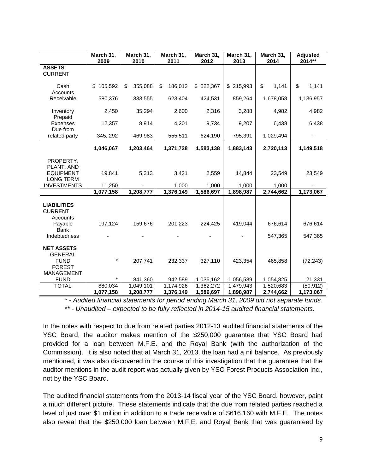|                                                                                   | March 31,<br>2009    | March 31,<br>2010      | March 31,<br>2011      | March 31,<br>2012      | March 31,<br>2013      | March 31,<br>2014      | <b>Adjusted</b><br>2014** |
|-----------------------------------------------------------------------------------|----------------------|------------------------|------------------------|------------------------|------------------------|------------------------|---------------------------|
| <b>ASSETS</b><br><b>CURRENT</b>                                                   |                      |                        |                        |                        |                        |                        |                           |
| Cash<br>Accounts                                                                  | \$105,592            | \$<br>355,088          | \$<br>186,012          | \$522,367              | \$215,993              | \$<br>1,141            | \$<br>1,141               |
| Receivable                                                                        | 580,376              | 333,555                | 623,404                | 424,531                | 859,264                | 1,678,058              | 1,136,957                 |
| Inventory<br>Prepaid                                                              | 2,450                | 35,294                 | 2,600                  | 2,316                  | 3,288                  | 4,982                  | 4,982                     |
| Expenses<br>Due from                                                              | 12,357               | 8,914                  | 4,201                  | 9,734                  | 9,207                  | 6,438                  | 6,438                     |
| related party                                                                     | 345, 292             | 469,983                | 555,511                | 624,190                | 795,391                | 1,029,494              |                           |
|                                                                                   | 1,046,067            | 1,203,464              | 1,371,728              | 1,583,138              | 1,883,143              | 2,720,113              | 1,149,518                 |
| PROPERTY,<br>PLANT, AND<br><b>EQUIPMENT</b>                                       | 19,841               | 5,313                  | 3,421                  | 2,559                  | 14,844                 | 23,549                 | 23,549                    |
| <b>LONG TERM</b><br><b>INVESTMENTS</b>                                            |                      |                        |                        |                        |                        |                        |                           |
|                                                                                   | 11,250<br>1,077,158  | 1,208,777              | 1,000<br>1,376,149     | 1,000<br>1,586,697     | 1,000<br>1,898,987     | 1,000<br>2,744,662     | 1,173,067                 |
| <b>LIABILITIES</b><br><b>CURRENT</b><br>Accounts<br>Payable<br>Bank               | 197,124              | 159,676                | 201,223                | 224,425                | 419,044                | 676,614                | 676,614                   |
| Indebtedness                                                                      |                      |                        |                        |                        |                        | 547,365                | 547,365                   |
| <b>NET ASSETS</b><br><b>GENERAL</b><br><b>FUND</b><br><b>FOREST</b><br>MANAGEMENT | $\star$              | 207,741                | 232,337                | 327,110                | 423,354                | 465,858                | (72, 243)                 |
| <b>FUND</b>                                                                       | $\star$              | 841,360                | 942,589                | 1,035,162              | 1,056,589              | 1,054,825              | 21,331                    |
| <b>TOTAL</b>                                                                      | 880,034<br>1,077,158 | 1,049,101<br>1,208,777 | 1,174,926<br>1,376,149 | 1,362,272<br>1,586,697 | 1,479,943<br>1,898,987 | 1,520,683<br>2,744,662 | (50, 912)<br>1,173,067    |

*\* - Audited financial statements for period ending March 31, 2009 did not separate funds. \*\* - Unaudited – expected to be fully reflected in 2014-15 audited financial statements.*

In the notes with respect to due from related parties 2012-13 audited financial statements of the YSC Board, the auditor makes mention of the \$250,000 guarantee that YSC Board had provided for a loan between M.F.E. and the Royal Bank (with the authorization of the Commission). It is also noted that at March 31, 2013, the loan had a nil balance. As previously mentioned, it was also discovered in the course of this investigation that the guarantee that the auditor mentions in the audit report was actually given by YSC Forest Products Association Inc., not by the YSC Board.

The audited financial statements from the 2013-14 fiscal year of the YSC Board, however, paint a much different picture. These statements indicate that the due from related parties reached a level of just over \$1 million in addition to a trade receivable of \$616,160 with M.F.E. The notes also reveal that the \$250,000 loan between M.F.E. and Royal Bank that was guaranteed by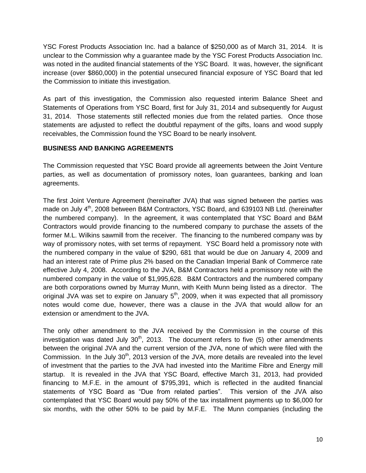YSC Forest Products Association Inc. had a balance of \$250,000 as of March 31, 2014. It is unclear to the Commission why a guarantee made by the YSC Forest Products Association Inc. was noted in the audited financial statements of the YSC Board. It was, however, the significant increase (over \$860,000) in the potential unsecured financial exposure of YSC Board that led the Commission to initiate this investigation.

As part of this investigation, the Commission also requested interim Balance Sheet and Statements of Operations from YSC Board, first for July 31, 2014 and subsequently for August 31, 2014. Those statements still reflected monies due from the related parties. Once those statements are adjusted to reflect the doubtful repayment of the gifts, loans and wood supply receivables, the Commission found the YSC Board to be nearly insolvent.

#### <span id="page-11-0"></span>**BUSINESS AND BANKING AGREEMENTS**

The Commission requested that YSC Board provide all agreements between the Joint Venture parties, as well as documentation of promissory notes, loan guarantees, banking and loan agreements.

The first Joint Venture Agreement (hereinafter JVA) that was signed between the parties was made on July 4<sup>th</sup>, 2008 between B&M Contractors, YSC Board, and 639103 NB Ltd. (hereinafter the numbered company). In the agreement, it was contemplated that YSC Board and B&M Contractors would provide financing to the numbered company to purchase the assets of the former M.L. Wilkins sawmill from the receiver. The financing to the numbered company was by way of promissory notes, with set terms of repayment. YSC Board held a promissory note with the numbered company in the value of \$290, 681 that would be due on January 4, 2009 and had an interest rate of Prime plus 2% based on the Canadian Imperial Bank of Commerce rate effective July 4, 2008. According to the JVA, B&M Contractors held a promissory note with the numbered company in the value of \$1,995,628. B&M Contractors and the numbered company are both corporations owned by Murray Munn, with Keith Munn being listed as a director. The original JVA was set to expire on January  $5<sup>th</sup>$ , 2009, when it was expected that all promissory notes would come due, however, there was a clause in the JVA that would allow for an extension or amendment to the JVA.

The only other amendment to the JVA received by the Commission in the course of this investigation was dated July  $30<sup>th</sup>$ , 2013. The document refers to five (5) other amendments between the original JVA and the current version of the JVA, none of which were filed with the Commission. In the July  $30<sup>th</sup>$ , 2013 version of the JVA, more details are revealed into the level of investment that the parties to the JVA had invested into the Maritime Fibre and Energy mill startup. It is revealed in the JVA that YSC Board, effective March 31, 2013, had provided financing to M.F.E. in the amount of \$795,391, which is reflected in the audited financial statements of YSC Board as "Due from related parties". This version of the JVA also contemplated that YSC Board would pay 50% of the tax installment payments up to \$6,000 for six months, with the other 50% to be paid by M.F.E. The Munn companies (including the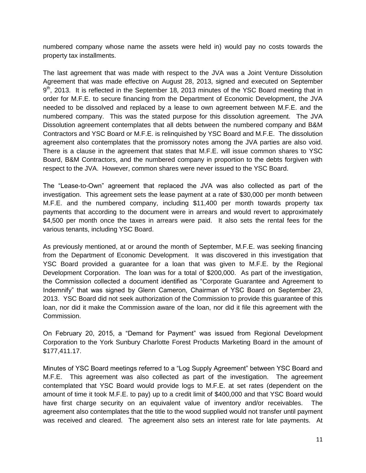numbered company whose name the assets were held in) would pay no costs towards the property tax installments.

The last agreement that was made with respect to the JVA was a Joint Venture Dissolution Agreement that was made effective on August 28, 2013, signed and executed on September 9<sup>th</sup>, 2013. It is reflected in the September 18, 2013 minutes of the YSC Board meeting that in order for M.F.E. to secure financing from the Department of Economic Development, the JVA needed to be dissolved and replaced by a lease to own agreement between M.F.E. and the numbered company. This was the stated purpose for this dissolution agreement. The JVA Dissolution agreement contemplates that all debts between the numbered company and B&M Contractors and YSC Board or M.F.E. is relinquished by YSC Board and M.F.E. The dissolution agreement also contemplates that the promissory notes among the JVA parties are also void. There is a clause in the agreement that states that M.F.E. will issue common shares to YSC Board, B&M Contractors, and the numbered company in proportion to the debts forgiven with respect to the JVA. However, common shares were never issued to the YSC Board.

The "Lease-to-Own" agreement that replaced the JVA was also collected as part of the investigation. This agreement sets the lease payment at a rate of \$30,000 per month between M.F.E. and the numbered company, including \$11,400 per month towards property tax payments that according to the document were in arrears and would revert to approximately \$4,500 per month once the taxes in arrears were paid. It also sets the rental fees for the various tenants, including YSC Board.

As previously mentioned, at or around the month of September, M.F.E. was seeking financing from the Department of Economic Development. It was discovered in this investigation that YSC Board provided a guarantee for a loan that was given to M.F.E. by the Regional Development Corporation. The loan was for a total of \$200,000. As part of the investigation, the Commission collected a document identified as "Corporate Guarantee and Agreement to Indemnify" that was signed by Glenn Cameron, Chairman of YSC Board on September 23, 2013. YSC Board did not seek authorization of the Commission to provide this guarantee of this loan, nor did it make the Commission aware of the loan, nor did it file this agreement with the Commission.

On February 20, 2015, a "Demand for Payment" was issued from Regional Development Corporation to the York Sunbury Charlotte Forest Products Marketing Board in the amount of \$177,411.17.

Minutes of YSC Board meetings referred to a "Log Supply Agreement" between YSC Board and M.F.E. This agreement was also collected as part of the investigation. The agreement contemplated that YSC Board would provide logs to M.F.E. at set rates (dependent on the amount of time it took M.F.E. to pay) up to a credit limit of \$400,000 and that YSC Board would have first charge security on an equivalent value of inventory and/or receivables. The agreement also contemplates that the title to the wood supplied would not transfer until payment was received and cleared. The agreement also sets an interest rate for late payments. At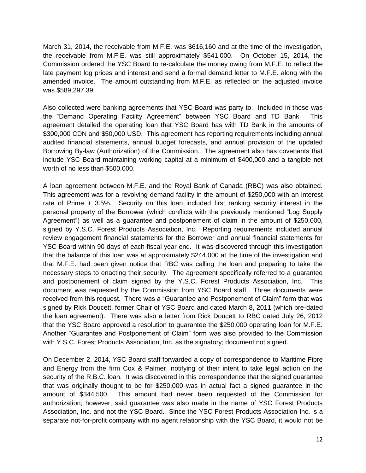March 31, 2014, the receivable from M.F.E. was \$616,160 and at the time of the investigation, the receivable from M.F.E. was still approximately \$541,000. On October 15, 2014, the Commission ordered the YSC Board to re-calculate the money owing from M.F.E. to reflect the late payment log prices and interest and send a formal demand letter to M.F.E. along with the amended invoice. The amount outstanding from M.F.E. as reflected on the adjusted invoice was \$589,297.39.

Also collected were banking agreements that YSC Board was party to. Included in those was the "Demand Operating Facility Agreement" between YSC Board and TD Bank. This agreement detailed the operating loan that YSC Board has with TD Bank in the amounts of \$300,000 CDN and \$50,000 USD. This agreement has reporting requirements including annual audited financial statements, annual budget forecasts, and annual provision of the updated Borrowing By-law (Authorization) of the Commission. The agreement also has covenants that include YSC Board maintaining working capital at a minimum of \$400,000 and a tangible net worth of no less than \$500,000.

A loan agreement between M.F.E. and the Royal Bank of Canada (RBC) was also obtained. This agreement was for a revolving demand facility in the amount of \$250,000 with an interest rate of Prime + 3.5%. Security on this loan included first ranking security interest in the personal property of the Borrower (which conflicts with the previously mentioned "Log Supply Agreement") as well as a guarantee and postponement of claim in the amount of \$250,000, signed by Y.S.C. Forest Products Association, Inc. Reporting requirements included annual review engagement financial statements for the Borrower and annual financial statements for YSC Board within 90 days of each fiscal year end. It was discovered through this investigation that the balance of this loan was at approximately \$244,000 at the time of the investigation and that M.F.E. had been given notice that RBC was calling the loan and preparing to take the necessary steps to enacting their security. The agreement specifically referred to a guarantee and postponement of claim signed by the Y.S.C. Forest Products Association, Inc. This document was requested by the Commission from YSC Board staff. Three documents were received from this request. There was a "Guarantee and Postponement of Claim" form that was signed by Rick Doucett, former Chair of YSC Board and dated March 8, 2011 (which pre-dated the loan agreement). There was also a letter from Rick Doucett to RBC dated July 26, 2012 that the YSC Board approved a resolution to guarantee the \$250,000 operating loan for M.F.E. Another "Guarantee and Postponement of Claim" form was also provided to the Commission with Y.S.C. Forest Products Association, Inc. as the signatory; document not signed.

On December 2, 2014, YSC Board staff forwarded a copy of correspondence to Maritime Fibre and Energy from the firm Cox & Palmer, notifying of their intent to take legal action on the security of the R.B.C. loan. It was discovered in this correspondence that the signed guarantee that was originally thought to be for \$250,000 was in actual fact a signed guarantee in the amount of \$344,500. This amount had never been requested of the Commission for authorization; however, said guarantee was also made in the name of YSC Forest Products Association, Inc. and not the YSC Board. Since the YSC Forest Products Association Inc. is a separate not-for-profit company with no agent relationship with the YSC Board, it would not be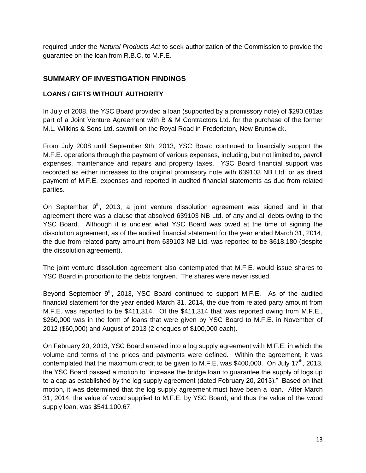required under the *Natural Products Act* to seek authorization of the Commission to provide the guarantee on the loan from R.B.C. to M.F.E.

### <span id="page-14-0"></span>**SUMMARY OF INVESTIGATION FINDINGS**

#### <span id="page-14-1"></span>**LOANS / GIFTS WITHOUT AUTHORITY**

In July of 2008, the YSC Board provided a loan (supported by a promissory note) of \$290,681as part of a Joint Venture Agreement with B & M Contractors Ltd. for the purchase of the former M.L. Wilkins & Sons Ltd. sawmill on the Royal Road in Fredericton, New Brunswick.

From July 2008 until September 9th, 2013, YSC Board continued to financially support the M.F.E. operations through the payment of various expenses, including, but not limited to, payroll expenses, maintenance and repairs and property taxes. YSC Board financial support was recorded as either increases to the original promissory note with 639103 NB Ltd. or as direct payment of M.F.E. expenses and reported in audited financial statements as due from related parties.

On September  $9<sup>th</sup>$ , 2013, a joint venture dissolution agreement was signed and in that agreement there was a clause that absolved 639103 NB Ltd. of any and all debts owing to the YSC Board. Although it is unclear what YSC Board was owed at the time of signing the dissolution agreement, as of the audited financial statement for the year ended March 31, 2014, the due from related party amount from 639103 NB Ltd. was reported to be \$618,180 (despite the dissolution agreement).

The joint venture dissolution agreement also contemplated that M.F.E. would issue shares to YSC Board in proportion to the debts forgiven. The shares were never issued.

Beyond September  $9<sup>th</sup>$ , 2013, YSC Board continued to support M.F.E. As of the audited financial statement for the year ended March 31, 2014, the due from related party amount from M.F.E. was reported to be \$411,314. Of the \$411,314 that was reported owing from M.F.E., \$260,000 was in the form of loans that were given by YSC Board to M.F.E. in November of 2012 (\$60,000) and August of 2013 (2 cheques of \$100,000 each).

On February 20, 2013, YSC Board entered into a log supply agreement with M.F.E. in which the volume and terms of the prices and payments were defined. Within the agreement, it was contemplated that the maximum credit to be given to M.F.E. was \$400,000. On July 17<sup>th</sup>, 2013, the YSC Board passed a motion to "increase the bridge loan to guarantee the supply of logs up to a cap as established by the log supply agreement (dated February 20, 2013)." Based on that motion, it was determined that the log supply agreement must have been a loan. After March 31, 2014, the value of wood supplied to M.F.E. by YSC Board, and thus the value of the wood supply loan, was \$541,100.67.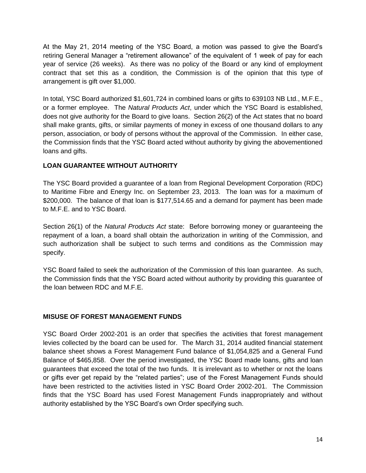At the May 21, 2014 meeting of the YSC Board, a motion was passed to give the Board's retiring General Manager a "retirement allowance" of the equivalent of 1 week of pay for each year of service (26 weeks). As there was no policy of the Board or any kind of employment contract that set this as a condition, the Commission is of the opinion that this type of arrangement is gift over \$1,000.

In total, YSC Board authorized \$1,601,724 in combined loans or gifts to 639103 NB Ltd., M.F.E., or a former employee. The *Natural Products Act*, under which the YSC Board is established, does not give authority for the Board to give loans. Section 26(2) of the Act states that no board shall make grants, gifts, or similar payments of money in excess of one thousand dollars to any person, association, or body of persons without the approval of the Commission. In either case, the Commission finds that the YSC Board acted without authority by giving the abovementioned loans and gifts.

### <span id="page-15-0"></span>**LOAN GUARANTEE WITHOUT AUTHORITY**

The YSC Board provided a guarantee of a loan from Regional Development Corporation (RDC) to Maritime Fibre and Energy Inc. on September 23, 2013. The loan was for a maximum of \$200,000. The balance of that loan is \$177,514.65 and a demand for payment has been made to M.F.E. and to YSC Board.

Section 26(1) of the *Natural Products Act* state: Before borrowing money or guaranteeing the repayment of a loan, a board shall obtain the authorization in writing of the Commission, and such authorization shall be subject to such terms and conditions as the Commission may specify.

YSC Board failed to seek the authorization of the Commission of this loan guarantee. As such, the Commission finds that the YSC Board acted without authority by providing this guarantee of the loan between RDC and M.F.E.

# <span id="page-15-1"></span>**MISUSE OF FOREST MANAGEMENT FUNDS**

YSC Board Order 2002-201 is an order that specifies the activities that forest management levies collected by the board can be used for. The March 31, 2014 audited financial statement balance sheet shows a Forest Management Fund balance of \$1,054,825 and a General Fund Balance of \$465,858. Over the period investigated, the YSC Board made loans, gifts and loan guarantees that exceed the total of the two funds. It is irrelevant as to whether or not the loans or gifts ever get repaid by the "related parties"; use of the Forest Management Funds should have been restricted to the activities listed in YSC Board Order 2002-201. The Commission finds that the YSC Board has used Forest Management Funds inappropriately and without authority established by the YSC Board's own Order specifying such.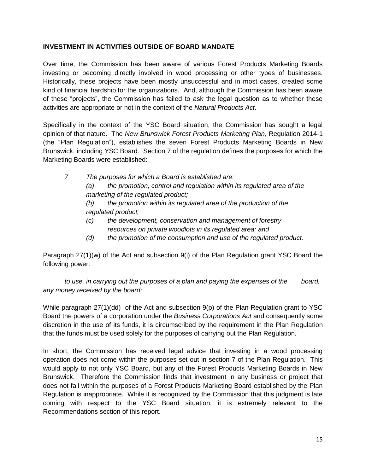#### <span id="page-16-0"></span>**INVESTMENT IN ACTIVITIES OUTSIDE OF BOARD MANDATE**

Over time, the Commission has been aware of various Forest Products Marketing Boards investing or becoming directly involved in wood processing or other types of businesses. Historically, these projects have been mostly unsuccessful and in most cases, created some kind of financial hardship for the organizations. And, although the Commission has been aware of these "projects", the Commission has failed to ask the legal question as to whether these activities are appropriate or not in the context of the *Natural Products Act*.

Specifically in the context of the YSC Board situation, the Commission has sought a legal opinion of that nature. The *New Brunswick Forest Products Marketing Plan*, Regulation 2014-1 (the "Plan Regulation"), establishes the seven Forest Products Marketing Boards in New Brunswick, including YSC Board. Section 7 of the regulation defines the purposes for which the Marketing Boards were established:

- *7 The purposes for which a Board is established are: (a) the promotion, control and regulation within its regulated area of the marketing of the regulated product; (b) the promotion within its regulated area of the production of the regulated product; (c) the development, conservation and management of forestry* 
	- *resources on private woodlots in its regulated area; and*
	- *(d) the promotion of the consumption and use of the regulated product.*

Paragraph 27(1)(w) of the Act and subsection 9(i) of the Plan Regulation grant YSC Board the following power:

*to use, in carrying out the purposes of a plan and paying the expenses of the board, any money received by the board;*

While paragraph 27(1)(dd) of the Act and subsection 9(p) of the Plan Regulation grant to YSC Board the powers of a corporation under the *Business Corporations Act* and consequently some discretion in the use of its funds, it is circumscribed by the requirement in the Plan Regulation that the funds must be used solely for the purposes of carrying out the Plan Regulation.

In short, the Commission has received legal advice that investing in a wood processing operation does not come within the purposes set out in section 7 of the Plan Regulation. This would apply to not only YSC Board, but any of the Forest Products Marketing Boards in New Brunswick. Therefore the Commission finds that investment in any business or project that does not fall within the purposes of a Forest Products Marketing Board established by the Plan Regulation is inappropriate. While it is recognized by the Commission that this judgment is late coming with respect to the YSC Board situation, it is extremely relevant to the Recommendations section of this report.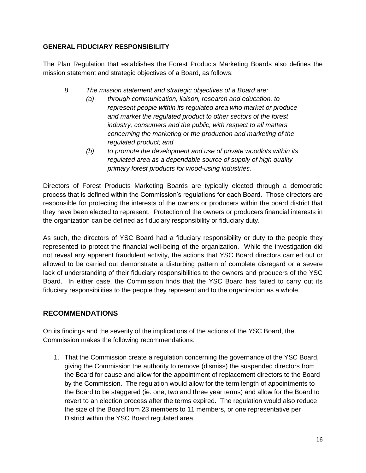#### <span id="page-17-0"></span>**GENERAL FIDUCIARY RESPONSIBILITY**

The Plan Regulation that establishes the Forest Products Marketing Boards also defines the mission statement and strategic objectives of a Board, as follows:

- *8 The mission statement and strategic objectives of a Board are:*
	- *(a) through communication, liaison, research and education, to represent people within its regulated area who market or produce and market the regulated product to other sectors of the forest industry, consumers and the public, with respect to all matters concerning the marketing or the production and marketing of the regulated product; and*
	- *(b) to promote the development and use of private woodlots within its regulated area as a dependable source of supply of high quality primary forest products for wood-using industries.*

Directors of Forest Products Marketing Boards are typically elected through a democratic process that is defined within the Commission's regulations for each Board. Those directors are responsible for protecting the interests of the owners or producers within the board district that they have been elected to represent. Protection of the owners or producers financial interests in the organization can be defined as fiduciary responsibility or fiduciary duty.

As such, the directors of YSC Board had a fiduciary responsibility or duty to the people they represented to protect the financial well-being of the organization. While the investigation did not reveal any apparent fraudulent activity, the actions that YSC Board directors carried out or allowed to be carried out demonstrate a disturbing pattern of complete disregard or a severe lack of understanding of their fiduciary responsibilities to the owners and producers of the YSC Board. In either case, the Commission finds that the YSC Board has failed to carry out its fiduciary responsibilities to the people they represent and to the organization as a whole.

# <span id="page-17-1"></span>**RECOMMENDATIONS**

On its findings and the severity of the implications of the actions of the YSC Board, the Commission makes the following recommendations:

1. That the Commission create a regulation concerning the governance of the YSC Board, giving the Commission the authority to remove (dismiss) the suspended directors from the Board for cause and allow for the appointment of replacement directors to the Board by the Commission. The regulation would allow for the term length of appointments to the Board to be staggered (ie. one, two and three year terms) and allow for the Board to revert to an election process after the terms expired. The regulation would also reduce the size of the Board from 23 members to 11 members, or one representative per District within the YSC Board regulated area.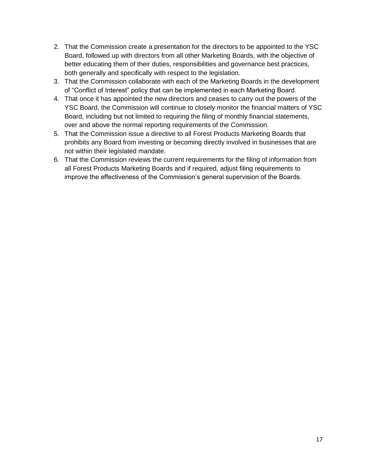- 2. That the Commission create a presentation for the directors to be appointed to the YSC Board, followed up with directors from all other Marketing Boards, with the objective of better educating them of their duties, responsibilities and governance best practices, both generally and specifically with respect to the legislation.
- 3. That the Commission collaborate with each of the Marketing Boards in the development of "Conflict of Interest" policy that can be implemented in each Marketing Board.
- 4. That once it has appointed the new directors and ceases to carry out the powers of the YSC Board, the Commission will continue to closely monitor the financial matters of YSC Board, including but not limited to requiring the filing of monthly financial statements, over and above the normal reporting requirements of the Commission.
- 5. That the Commission issue a directive to all Forest Products Marketing Boards that prohibits any Board from investing or becoming directly involved in businesses that are not within their legislated mandate.
- 6. That the Commission reviews the current requirements for the filing of information from all Forest Products Marketing Boards and if required, adjust filing requirements to improve the effectiveness of the Commission's general supervision of the Boards.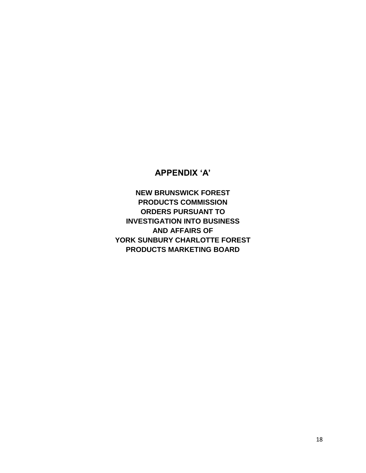# **APPENDIX 'A'**

<span id="page-19-0"></span>**NEW BRUNSWICK FOREST PRODUCTS COMMISSION ORDERS PURSUANT TO INVESTIGATION INTO BUSINESS AND AFFAIRS OF YORK SUNBURY CHARLOTTE FOREST PRODUCTS MARKETING BOARD**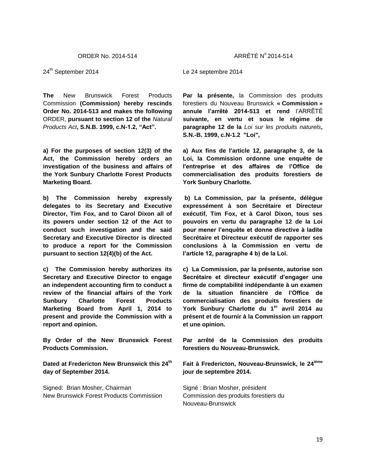24<sup>th</sup> September 2014

**The** New Brunswick Forest Products Commission **(Commission) hereby rescinds Order No. 2014-513 and makes the following**  ORDER, **pursuant to section 12 of the** *Natural Products Act***, S.N.B. 1999, c.N-1.2, "Act".** 

**a) For the purposes of section 12(3) of the Act, the Commission hereby orders an investigation of the business and affairs of the York Sunbury Charlotte Forest Products Marketing Board.**

**b) The Commission hereby expressly delegates to its Secretary and Executive Director, Tim Fox, and to Carol Dixon all of its powers under section 12 of the Act to conduct such investigation and the said Secretary and Executive Director is directed to produce a report for the Commission pursuant to section 12(4)(b) of the Act.**

**c) The Commission hereby authorizes its Secretary and Executive Director to engage an independent accounting firm to conduct a review of the financial affairs of the York Sunbury Charlotte Forest Products Marketing Board from April 1, 2014 to present and provide the Commission with a report and opinion.**

**By Order of the New Brunswick Forest Products Commission.**

**Dated at Fredericton New Brunswick this 24th day of September 2014.**

Signed: Brian Mosher, Chairman New Brunswick Forest Products Commission Le 24 septembre 2014

**Par la présente,** la Commission des produits forestiers du Nouveau Brunswick **« Commission » annule l'arrêté 2014-513 et rend** l'ARRÊTÉ **suivante, en vertu et sous le régime de paragraphe 12 de la** *Loi sur les produits naturels***, S.N.-B. 1999, c.N-1.2 "Loi",** 

**a) Aux fins de l'article 12, paragraphe 3, de la Loi, la Commission ordonne une enquête de l'entreprise et des affaires de l'Office de commercialisation des produits forestiers de York Sunbury Charlotte.**

**b) La Commission, par la présente, délègue expressément à son Secrétaire et Directeur exécutif, Tim Fox, et à Carol Dixon, tous ses pouvoirs en vertu du paragraphe 12 de la Loi pour mener l'enquête et donne directive à ladite Secrétaire et Directeur exécutif de rapporter ses conclusions à la Commission en vertu de l'article 12, paragraphe 4 b) de la Loi.**

**c) La Commission, par la présente, autorise son Secrétaire et directeur exécutif d'engager une firme de comptabilité indépendante à un examen de la situation financière de l'Office de commercialisation des produits forestiers de York Sunbury Charlotte du 1er avril 2014 au présent et de fournir à la Commission un rapport et une opinion.**

**Par arrêté de la Commission des produits forestiers du Nouveau-Brunswick.**

**Fait à Fredericton, Nouveau-Brunswick, le 24ième jour de septembre 2014.**

Signé : Brian Mosher, président Commission des produits forestiers du Nouveau-Brunswick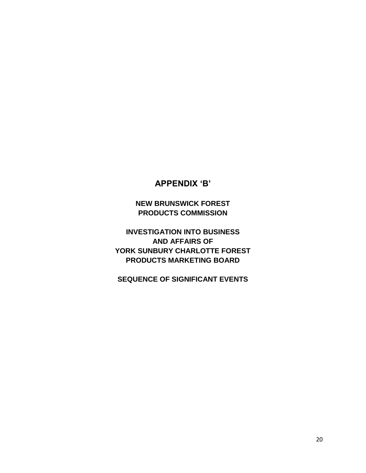# **APPENDIX 'B'**

**NEW BRUNSWICK FOREST PRODUCTS COMMISSION**

<span id="page-21-0"></span>**INVESTIGATION INTO BUSINESS AND AFFAIRS OF YORK SUNBURY CHARLOTTE FOREST PRODUCTS MARKETING BOARD**

**SEQUENCE OF SIGNIFICANT EVENTS**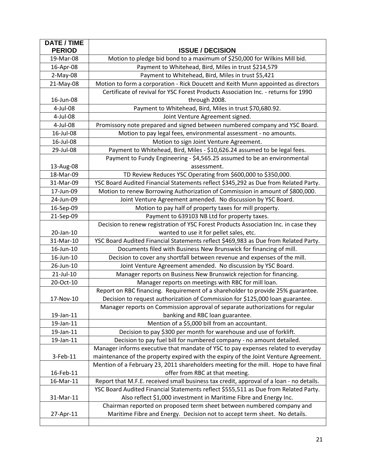| <b>DATE / TIME</b><br><b>PERIOD</b> | <b>ISSUE / DECISION</b>                                                                                             |
|-------------------------------------|---------------------------------------------------------------------------------------------------------------------|
| 19-Mar-08                           | Motion to pledge bid bond to a maximum of \$250,000 for Wilkins Mill bid.                                           |
| 16-Apr-08                           | Payment to Whitehead, Bird, Miles in trust \$214,579                                                                |
| $2-May-08$                          | Payment to Whitehead, Bird, Miles in trust \$5,421                                                                  |
| 21-May-08                           | Motion to form a corporation - Rick Doucett and Keith Munn appointed as directors                                   |
|                                     | Certificate of revival for YSC Forest Products Association Inc. - returns for 1990                                  |
| 16-Jun-08                           | through 2008.                                                                                                       |
| 4-Jul-08                            | Payment to Whitehead, Bird, Miles in trust \$70,680.92.                                                             |
| 4-Jul-08                            | Joint Venture Agreement signed.                                                                                     |
| 4-Jul-08                            | Promissory note prepared and signed between numbered company and YSC Board.                                         |
| 16-Jul-08                           | Motion to pay legal fees, environmental assessment - no amounts.                                                    |
| 16-Jul-08                           | Motion to sign Joint Venture Agreement.                                                                             |
| 29-Jul-08                           | Payment to Whitehead, Bird, Miles - \$10,626.24 assumed to be legal fees.                                           |
|                                     | Payment to Fundy Engineering - \$4,565.25 assumed to be an environmental                                            |
| 13-Aug-08                           | assessment.                                                                                                         |
| 18-Mar-09                           | TD Review Reduces YSC Operating from \$600,000 to \$350,000.                                                        |
| 31-Mar-09                           | YSC Board Audited Financial Statements reflect \$345,292 as Due from Related Party.                                 |
| 17-Jun-09                           | Motion to renew Borrowing Authorization of Commission in amount of \$800,000.                                       |
| 24-Jun-09                           | Joint Venture Agreement amended. No discussion by YSC Board.                                                        |
| 16-Sep-09                           | Motion to pay half of property taxes for mill property.                                                             |
| 21-Sep-09                           | Payment to 639103 NB Ltd for property taxes.                                                                        |
|                                     | Decision to renew registration of YSC Forest Products Association Inc. in case they                                 |
| 20-Jan-10                           | wanted to use it for pellet sales, etc.                                                                             |
| 31-Mar-10                           | YSC Board Audited Financial Statements reflect \$469,983 as Due from Related Party.                                 |
| 16-Jun-10                           | Documents filed with Business New Brunswick for financing of mill.                                                  |
| 16-Jun-10                           | Decision to cover any shortfall between revenue and expenses of the mill.                                           |
| 26-Jun-10                           | Joint Venture Agreement amended. No discussion by YSC Board.                                                        |
| 21-Jul-10                           | Manager reports on Business New Brunswick rejection for financing.                                                  |
| 20-Oct-10                           | Manager reports on meetings with RBC for mill loan.                                                                 |
|                                     | Report on RBC financing. Requirement of a shareholder to provide 25% guarantee.                                     |
| 17-Nov-10                           | Decision to request authorization of Commission for \$125,000 loan guarantee.                                       |
|                                     | Manager reports on Commission approval of separate authorizations for regular                                       |
| 19-Jan-11<br>19-Jan-11              | banking and RBC loan guarantee.                                                                                     |
| 19-Jan-11                           | Mention of a \$5,000 bill from an accountant.<br>Decision to pay \$300 per month for warehouse and use of forklift. |
| 19-Jan-11                           | Decision to pay fuel bill for numbered company - no amount detailed.                                                |
|                                     | Manager informs executive that mandate of YSC to pay expenses related to everyday                                   |
| 3-Feb-11                            | maintenance of the property expired with the expiry of the Joint Venture Agreement.                                 |
|                                     | Mention of a February 23, 2011 shareholders meeting for the mill. Hope to have final                                |
| 16-Feb-11                           | offer from RBC at that meeting.                                                                                     |
| 16-Mar-11                           | Report that M.F.E. received small business tax credit, approval of a loan - no details.                             |
|                                     | YSC Board Audited Financial Statements reflect \$555,511 as Due from Related Party.                                 |
| 31-Mar-11                           | Also reflect \$1,000 investment in Maritime Fibre and Energy Inc.                                                   |
|                                     | Chairman reported on proposed term sheet between numbered company and                                               |
| 27-Apr-11                           | Maritime Fibre and Energy. Decision not to accept term sheet. No details.                                           |
|                                     |                                                                                                                     |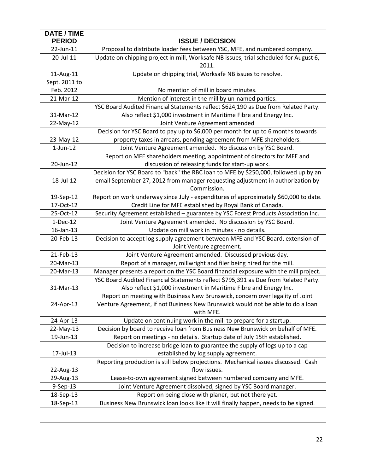| <b>DATE / TIME</b> |                                                                                                |
|--------------------|------------------------------------------------------------------------------------------------|
| <b>PERIOD</b>      | <b>ISSUE / DECISION</b>                                                                        |
| 22-Jun-11          | Proposal to distribute loader fees between YSC, MFE, and numbered company.                     |
| 20-Jul-11          | Update on chipping project in mill, Worksafe NB issues, trial scheduled for August 6,<br>2011. |
| 11-Aug-11          | Update on chipping trial, Worksafe NB issues to resolve.                                       |
| Sept. 2011 to      |                                                                                                |
| Feb. 2012          | No mention of mill in board minutes.                                                           |
| 21-Mar-12          | Mention of interest in the mill by un-named parties.                                           |
|                    | YSC Board Audited Financial Statements reflect \$624,190 as Due from Related Party.            |
| 31-Mar-12          | Also reflect \$1,000 investment in Maritime Fibre and Energy Inc.                              |
| 22-May-12          | Joint Venture Agreement amended                                                                |
|                    | Decision for YSC Board to pay up to \$6,000 per month for up to 6 months towards               |
| 23-May-12          | property taxes in arrears, pending agreement from MFE shareholders.                            |
| $1$ -Jun- $12$     | Joint Venture Agreement amended. No discussion by YSC Board.                                   |
|                    | Report on MFE shareholders meeting, appointment of directors for MFE and                       |
| 20-Jun-12          | discussion of releasing funds for start-up work.                                               |
|                    | Decision for YSC Board to "back" the RBC loan to MFE by \$250,000, followed up by an           |
| 18-Jul-12          | email September 27, 2012 from manager requesting adjustment in authorization by                |
|                    | Commission.                                                                                    |
| 19-Sep-12          | Report on work underway since July - expenditures of approximately \$60,000 to date.           |
| 17-Oct-12          | Credit Line for MFE established by Royal Bank of Canada.                                       |
| 25-Oct-12          | Security Agreement established - guarantee by YSC Forest Products Association Inc.             |
| $1-Dec-12$         | Joint Venture Agreement amended. No discussion by YSC Board.                                   |
| 16-Jan-13          | Update on mill work in minutes - no details.                                                   |
| 20-Feb-13          | Decision to accept log supply agreement between MFE and YSC Board, extension of                |
|                    | Joint Venture agreement.                                                                       |
| 21-Feb-13          | Joint Venture Agreement amended. Discussed previous day.                                       |
| 20-Mar-13          | Report of a manager, millwright and filer being hired for the mill.                            |
| 20-Mar-13          | Manager presents a report on the YSC Board financial exposure with the mill project.           |
|                    | YSC Board Audited Financial Statements reflect \$795,391 as Due from Related Party.            |
| 31-Mar-13          | Also reflect \$1,000 investment in Maritime Fibre and Energy Inc.                              |
|                    | Report on meeting with Business New Brunswick, concern over legality of Joint                  |
| 24-Apr-13          | Venture Agreement, if not Business New Brunswick would not be able to do a loan                |
|                    | with MFE.                                                                                      |
| 24-Apr-13          | Update on continuing work in the mill to prepare for a startup.                                |
| 22-May-13          | Decision by board to receive loan from Business New Brunswick on behalf of MFE.                |
| 19-Jun-13          | Report on meetings - no details. Startup date of July 15th established.                        |
|                    | Decision to increase bridge loan to guarantee the supply of logs up to a cap                   |
| 17-Jul-13          | established by log supply agreement.                                                           |
|                    | Reporting production is still below projections. Mechanical issues discussed. Cash             |
| 22-Aug-13          | flow issues.                                                                                   |
| 29-Aug-13          | Lease-to-own agreement signed between numbered company and MFE.                                |
| 9-Sep-13           | Joint Venture Agreement dissolved, signed by YSC Board manager.                                |
| 18-Sep-13          | Report on being close with planer, but not there yet.                                          |
| 18-Sep-13          | Business New Brunswick loan looks like it will finally happen, needs to be signed.             |
|                    |                                                                                                |